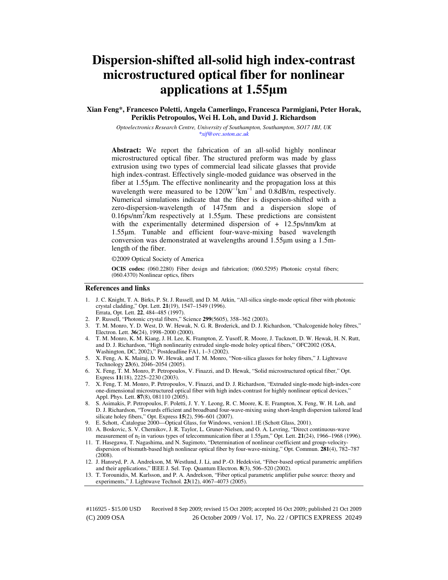# **Dispersion-shifted all-solid high index-contrast microstructured optical fiber for nonlinear applications at 1.55**µ**m**

**Xian Feng\*, Francesco Poletti, Angela Camerlingo, Francesca Parmigiani, Peter Horak, Periklis Petropoulos, Wei H. Loh, and David J. Richardson** 

> *Optoelectronics Research Centre, University of Southampton, Southampton, SO17 1BJ, UK \*xif@orc.soton.ac.uk*

**Abstract:** We report the fabrication of an all-solid highly nonlinear microstructured optical fiber. The structured preform was made by glass extrusion using two types of commercial lead silicate glasses that provide high index-contrast. Effectively single-moded guidance was observed in the fiber at 1.55µm. The effective nonlinearity and the propagation loss at this wavelength were measured to be  $120W^{-1}km^{-1}$  and  $0.8dB/m$ , respectively. Numerical simulations indicate that the fiber is dispersion-shifted with a zero-dispersion-wavelength of 1475nm and a dispersion slope of  $0.16$ ps/nm<sup>2</sup>/km respectively at  $1.55 \mu$ m. These predictions are consistent with the experimentally determined dispersion of  $+$  12.5ps/nm/km at 1.55µm. Tunable and efficient four-wave-mixing based wavelength conversion was demonstrated at wavelengths around 1.55µm using a 1.5mlength of the fiber.

©2009 Optical Society of America

**OCIS codes:** (060.2280) Fiber design and fabrication; (060.5295) Photonic crystal fibers; (060.4370) Nonlinear optics, fibers

#### **References and links**

- 1. J. C. Knight, T. A. Birks, P. St. J. Russell, and D. M. Atkin, "All-silica single-mode optical fiber with photonic crystal cladding," Opt. Lett. **21**(19), 1547–1549 (1996).
- Errata, Opt. Lett. **22**, 484–485 (1997).
- 2. P. Russell, "Photonic crystal fibers," Science **299**(5605), 358–362 (2003).
- 3. T. M. Monro, Y. D. West, D. W. Hewak, N. G. R. Broderick, and D. J. Richardson, "Chalcogenide holey fibres," Electron. Lett. **36**(24), 1998–2000 (2000).
- 4. T. M. Monro, K. M. Kiang, J. H. Lee, K. Frampton, Z. Yusoff, R. Moore, J. Tucknott, D. W. Hewak, H. N. Rutt, and D. J. Richardson, "High nonlinearity extruded single-mode holey optical fibers," OFC2002 (OSA, Washington, DC, 2002)," Postdeadline FA1, 1–3 (2002).
- 5. X. Feng, A. K. Mairaj, D. W. Hewak, and T. M. Monro, "Non-silica glasses for holey fibers," J. Lightwave Technology **23**(6), 2046–2054 (2005).
- 6. X. Feng, T. M. Monro, P. Petropoulos, V. Finazzi, and D. Hewak, "Solid microstructured optical fiber," Opt. Express **11**(18), 2225–2230 (2003).
- 7. X. Feng, T. M. Monro, P. Petropoulos, V. Finazzi, and D. J. Richardson, "Extruded single-mode high-index-core one-dimensional microstructured optical fiber with high index-contrast for highly nonlinear optical devices," Appl. Phys. Lett. **87**(8), 081110 (2005).
- 8. S. Asimakis, P. Petropoulos, F. Poletti, J. Y. Y. Leong, R. C. Moore, K. E. Frampton, X. Feng, W. H. Loh, and D. J. Richardson, "Towards efficient and broadband four-wave-mixing using short-length dispersion tailored lead silicate holey fibers," Opt. Express **15**(2), 596–601 (2007).
- 9. E. Schott, -Catalogue 2000—Optical Glass, for Windows, version1.1E (Schott Glass, 2001).
- 10. A. Boskovic, S. V. Chernikov, J. R. Taylor, L. Gruner-Nielsen, and O. A. Levring, "Direct continuous-wave measurement of  $n_2$  in various types of telecommunication fiber at 1.55 $\mu$ m," Opt. Lett. **21**(24), 1966–1968 (1996).
- 11. T. Hasegawa, T. Nagashima, and N. Sugimoto, "Determination of nonlinear coefficient and group-velocitydispersion of bismuth-based high nonlinear optical fiber by four-wave-mixing," Opt. Commun. **281**(4), 782–787 (2008).
- 12. J. Hansryd, P. A. Andrekson, M. Westlund, J. Li, and P.-O. Hedekvist, "Fiber-based optical parametric amplifiers and their applications," IEEE J. Sel. Top. Quantum Electron. **8**(3), 506–520 (2002).
- 13. T. Torounidis, M. Karlsson, and P. A. Andrekson, "Fiber optical parametric amplifier pulse source: theory and experiments," J. Lightwave Technol. **23**(12), 4067–4073 (2005).

(C) 2009 OSA 26 October 2009 / Vol. 17, No. 22 / OPTICS EXPRESS 20249 #116925 - \$15.00 USD Received 8 Sep 2009; revised 15 Oct 2009; accepted 16 Oct 2009; published 21 Oct 2009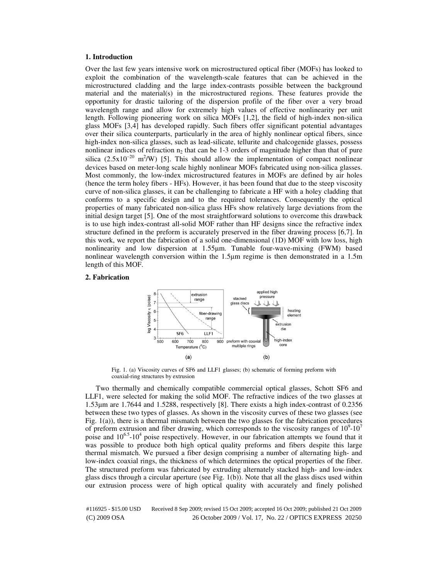#### **1. Introduction**

Over the last few years intensive work on microstructured optical fiber (MOFs) has looked to exploit the combination of the wavelength-scale features that can be achieved in the microstructured cladding and the large index-contrasts possible between the background material and the material(s) in the microstructured regions. These features provide the opportunity for drastic tailoring of the dispersion profile of the fiber over a very broad wavelength range and allow for extremely high values of effective nonlinearity per unit length. Following pioneering work on silica MOFs [1,2], the field of high-index non-silica glass MOFs [3,4] has developed rapidly. Such fibers offer significant potential advantages over their silica counterparts, particularly in the area of highly nonlinear optical fibers, since high-index non-silica glasses, such as lead-silicate, tellurite and chalcogenide glasses, possess nonlinear indices of refraction  $n_2$  that can be 1-3 orders of magnitude higher than that of pure silica (2.5x10<sup>-20</sup> m<sup>2</sup>/W) [5]. This should allow the implementation of compact nonlinear devices based on meter-long scale highly nonlinear MOFs fabricated using non-silica glasses. Most commonly, the low-index microstructured features in MOFs are defined by air holes (hence the term holey fibers - HFs). However, it has been found that due to the steep viscosity curve of non-silica glasses, it can be challenging to fabricate a HF with a holey cladding that conforms to a specific design and to the required tolerances. Consequently the optical properties of many fabricated non-silica glass HFs show relatively large deviations from the initial design target [5]. One of the most straightforward solutions to overcome this drawback is to use high index-contrast all-solid MOF rather than HF designs since the refractive index structure defined in the preform is accurately preserved in the fiber drawing process [6,7]. In this work, we report the fabrication of a solid one-dimensional (1D) MOF with low loss, high nonlinearity and low dispersion at 1.55µm. Tunable four-wave-mixing (FWM) based nonlinear wavelength conversion within the 1.5µm regime is then demonstrated in a 1.5m length of this MOF.

### **2. Fabrication**



Fig. 1. (a) Viscosity curves of SF6 and LLF1 glasses; (b) schematic of forming preform with coaxial-ring structures by extrusion

Two thermally and chemically compatible commercial optical glasses, Schott SF6 and LLF1, were selected for making the solid MOF. The refractive indices of the two glasses at 1.53µm are 1.7644 and 1.5288, respectively [8]. There exists a high index-contrast of 0.2356 between these two types of glasses. As shown in the viscosity curves of these two glasses (see Fig. 1(a)), there is a thermal mismatch between the two glasses for the fabrication procedures of preform extrusion and fiber drawing, which corresponds to the viscosity ranges of  $10^9$ - $10^7$ poise and 10<sup>6.5</sup>-10<sup>4</sup> poise respectively. However, in our fabrication attempts we found that it was possible to produce both high optical quality preforms and fibers despite this large thermal mismatch. We pursued a fiber design comprising a number of alternating high- and low-index coaxial rings, the thickness of which determines the optical properties of the fiber. The structured preform was fabricated by extruding alternately stacked high- and low-index glass discs through a circular aperture (see Fig.  $1(b)$ ). Note that all the glass discs used within our extrusion process were of high optical quality with accurately and finely polished

(C) 2009 OSA 26 October 2009 / Vol. 17, No. 22 / OPTICS EXPRESS 20250 #116925 - \$15.00 USD Received 8 Sep 2009; revised 15 Oct 2009; accepted 16 Oct 2009; published 21 Oct 2009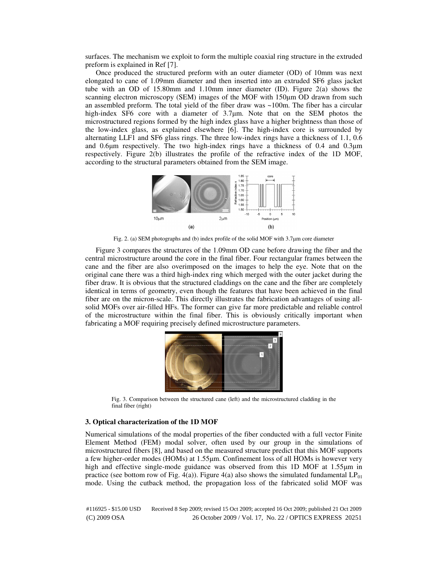surfaces. The mechanism we exploit to form the multiple coaxial ring structure in the extruded preform is explained in Ref [7].

Once produced the structured preform with an outer diameter (OD) of 10mm was next elongated to cane of 1.09mm diameter and then inserted into an extruded SF6 glass jacket tube with an OD of 15.80mm and 1.10mm inner diameter (ID). Figure 2(a) shows the scanning electron microscopy (SEM) images of the MOF with 150µm OD drawn from such an assembled preform. The total yield of the fiber draw was ~100m. The fiber has a circular high-index SF6 core with a diameter of 3.7um. Note that on the SEM photos the microstructured regions formed by the high index glass have a higher brightness than those of the low-index glass, as explained elsewhere [6]. The high-index core is surrounded by alternating LLF1 and SF6 glass rings. The three low-index rings have a thickness of 1.1, 0.6 and 0.6µm respectively. The two high-index rings have a thickness of 0.4 and 0.3µm respectively. Figure 2(b) illustrates the profile of the refractive index of the 1D MOF, according to the structural parameters obtained from the SEM image.



Fig. 2. (a) SEM photographs and (b) index profile of the solid MOF with 3.7µm core diameter

Figure 3 compares the structures of the 1.09mm OD cane before drawing the fiber and the central microstructure around the core in the final fiber. Four rectangular frames between the cane and the fiber are also overimposed on the images to help the eye. Note that on the original cane there was a third high-index ring which merged with the outer jacket during the fiber draw. It is obvious that the structured claddings on the cane and the fiber are completely identical in terms of geometry, even though the features that have been achieved in the final fiber are on the micron-scale. This directly illustrates the fabrication advantages of using allsolid MOFs over air-filled HFs. The former can give far more predictable and reliable control of the microstructure within the final fiber. This is obviously critically important when fabricating a MOF requiring precisely defined microstructure parameters.



Fig. 3. Comparison between the structured cane (left) and the microstructured cladding in the final fiber (right)

#### **3. Optical characterization of the 1D MOF**

Numerical simulations of the modal properties of the fiber conducted with a full vector Finite Element Method (FEM) modal solver, often used by our group in the simulations of microstructured fibers [8], and based on the measured structure predict that this MOF supports a few higher-order modes (HOMs) at 1.55µm. Confinement loss of all HOMs is however very high and effective single-mode guidance was observed from this 1D MOF at 1.55 $\mu$ m in practice (see bottom row of Fig. 4(a)). Figure 4(a) also shows the simulated fundamental  $LP_{01}$ mode. Using the cutback method, the propagation loss of the fabricated solid MOF was

(C) 2009 OSA 26 October 2009 / Vol. 17, No. 22 / OPTICS EXPRESS 20251 #116925 - \$15.00 USD Received 8 Sep 2009; revised 15 Oct 2009; accepted 16 Oct 2009; published 21 Oct 2009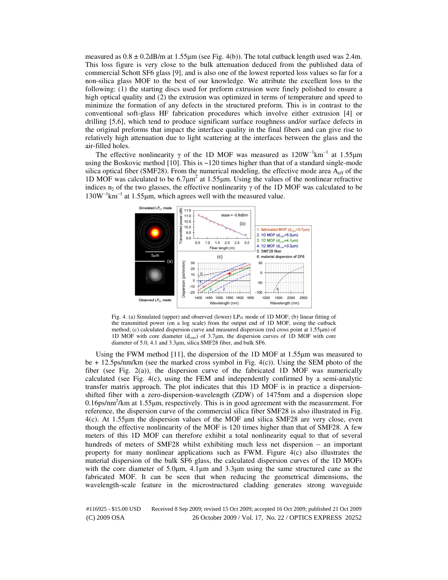measured as  $0.8 \pm 0.2$ dB/m at 1.55 $\mu$ m (see Fig. 4(b)). The total cutback length used was 2.4m. This loss figure is very close to the bulk attenuation deduced from the published data of commercial Schott SF6 glass [9], and is also one of the lowest reported loss values so far for a non-silica glass MOF to the best of our knowledge. We attribute the excellent loss to the following: (1) the starting discs used for preform extrusion were finely polished to ensure a high optical quality and (2) the extrusion was optimized in terms of temperature and speed to minimize the formation of any defects in the structured preform. This is in contrast to the conventional soft-glass HF fabrication procedures which involve either extrusion [4] or drilling [5,6], which tend to produce significant surface roughness and/or surface defects in the original preforms that impact the interface quality in the final fibers and can give rise to relatively high attenuation due to light scattering at the interfaces between the glass and the air-filled holes.

The effective nonlinearity  $\gamma$  of the 1D MOF was measured as 120W<sup>-1</sup>km<sup>-1</sup> at 1.55µm using the Boskovic method [10]. This is ~120 times higher than that of a standard single-mode silica optical fiber (SMF28). From the numerical modeling, the effective mode area  $A_{\text{eff}}$  of the 1D MOF was calculated to be  $6.7 \mu m^2$  at 1.55 $\mu$ m. Using the values of the nonlinear refractive indices n<sub>2</sub> of the two glasses, the effective nonlinearity  $\gamma$  of the 1D MOF was calculated to be 130W<sup>-1</sup>km<sup>-1</sup> at 1.55μm, which agrees well with the measured value.



Fig. 4. (a) Simulated (upper) and observed (lower)  $LP_{01}$  mode of 1D MOF; (b) linear fitting of the transmitted power (on a log scale) from the output end of 1D MOF, using the cutback method; (c) calculated dispersion curve and measured dispersion (red cross point at 1.55µm) of 1D MOF with core diameter ( $d_{\text{core}}$ ) of 3.7 $\mu$ m, the dispersion curves of 1D MOF with core diameter of 5.0, 4.1 and 3.3µm, silica SMF28 fiber, and bulk SF6.

Using the FWM method [11], the dispersion of the 1D MOF at 1.55µm was measured to be + 12.5ps/nm/km (see the marked cross symbol in Fig. 4(c)). Using the SEM photo of the fiber (see Fig. 2(a)), the dispersion curve of the fabricated 1D MOF was numerically calculated (see Fig.  $4(c)$ , using the FEM and independently confirmed by a semi-analytic transfer matrix approach. The plot indicates that this 1D MOF is in practice a dispersionshifted fiber with a zero-dispersion-wavelength (ZDW) of 1475nm and a dispersion slope 0.16ps/nm<sup>2</sup>/km at 1.55µm, respectively. This is in good agreement with the measurement. For reference, the dispersion curve of the commercial silica fiber SMF28 is also illustrated in Fig. 4(c). At 1.55µm the dispersion values of the MOF and silica SMF28 are very close, even though the effective nonlinearity of the MOF is 120 times higher than that of SMF28. A few meters of this 1D MOF can therefore exhibit a total nonlinearity equal to that of several hundreds of meters of SMF28 whilst exhibiting much less net dispersion − an important property for many nonlinear applications such as FWM. Figure 4(c) also illustrates the material dispersion of the bulk SF6 glass, the calculated dispersion curves of the 1D MOFs with the core diameter of 5.0µm, 4.1µm and 3.3µm using the same structured cane as the fabricated MOF. It can be seen that when reducing the geometrical dimensions, the wavelength-scale feature in the microstructured cladding generates strong waveguide

(C) 2009 OSA 26 October 2009 / Vol. 17, No. 22 / OPTICS EXPRESS 20252 #116925 - \$15.00 USD Received 8 Sep 2009; revised 15 Oct 2009; accepted 16 Oct 2009; published 21 Oct 2009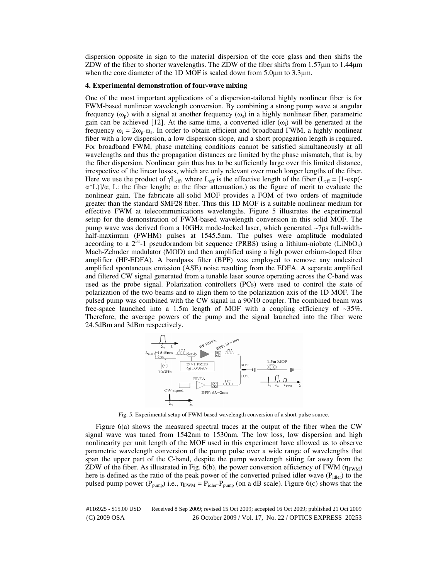dispersion opposite in sign to the material dispersion of the core glass and then shifts the ZDW of the fiber to shorter wavelengths. The ZDW of the fiber shifts from 1.57µm to 1.44µm when the core diameter of the 1D MOF is scaled down from 5.0 $\mu$ m to 3.3 $\mu$ m.

#### **4. Experimental demonstration of four-wave mixing**

One of the most important applications of a dispersion-tailored highly nonlinear fiber is for FWM-based nonlinear wavelength conversion. By combining a strong pump wave at angular frequency  $(\omega_p)$  with a signal at another frequency  $(\omega_s)$  in a highly nonlinear fiber, parametric gain can be achieved [12]. At the same time, a converted idler  $(\omega_i)$  will be generated at the frequency  $\omega_i = 2\omega_p - \omega_s$ . In order to obtain efficient and broadband FWM, a highly nonlinear fiber with a low dispersion, a low dispersion slope, and a short propagation length is required. For broadband FWM, phase matching conditions cannot be satisfied simultaneously at all wavelengths and thus the propagation distances are limited by the phase mismatch, that is, by the fiber dispersion. Nonlinear gain thus has to be sufficiently large over this limited distance, irrespective of the linear losses, which are only relevant over much longer lengths of the fiber. Here we use the product of  $\gamma L_{eff}$ , where  $L_{eff}$  is the effective length of the fiber ( $L_{eff} = [1-\exp(-\gamma L_{eff})]$ α\*L)]/α; L: the fiber length; α: the fiber attenuation.) as the figure of merit to evaluate the nonlinear gain. The fabricate all-solid MOF provides a FOM of two orders of magnitude greater than the standard SMF28 fiber. Thus this 1D MOF is a suitable nonlinear medium for effective FWM at telecommunications wavelengths. Figure 5 illustrates the experimental setup for the demonstration of FWM-based wavelength conversion in this solid MOF. The pump wave was derived from a 10GHz mode-locked laser, which generated  $\sim$ 7ps full-widthhalf-maximum (FWHM) pulses at 1545.5nm. The pulses were amplitude modulated according to a  $2^{31}$ -1 pseudorandom bit sequence (PRBS) using a lithium-niobate (LiNbO<sub>3</sub>) Mach-Zehnder modulator (MOD) and then amplified using a high power erbium-doped fiber amplifier (HP-EDFA). A bandpass filter (BPF) was employed to remove any undesired amplified spontaneous emission (ASE) noise resulting from the EDFA. A separate amplified and filtered CW signal generated from a tunable laser source operating across the C-band was used as the probe signal. Polarization controllers (PCs) were used to control the state of polarization of the two beams and to align them to the polarization axis of the 1D MOF. The pulsed pump was combined with the CW signal in a 90/10 coupler. The combined beam was free-space launched into a 1.5m length of MOF with a coupling efficiency of  $\sim$ 35%. Therefore, the average powers of the pump and the signal launched into the fiber were 24.5dBm and 3dBm respectively.



Fig. 5. Experimental setup of FWM-based wavelength conversion of a short-pulse source.

Figure 6(a) shows the measured spectral traces at the output of the fiber when the CW signal wave was tuned from 1542nm to 1530nm. The low loss, low dispersion and high nonlinearity per unit length of the MOF used in this experiment have allowed us to observe parametric wavelength conversion of the pump pulse over a wide range of wavelengths that span the upper part of the C-band, despite the pump wavelength sitting far away from the ZDW of the fiber. As illustrated in Fig.  $6(b)$ , the power conversion efficiency of FWM ( $\eta_{\text{FWM}}$ ) here is defined as the ratio of the peak power of the converted pulsed idler wave  $(P_{\text{idler}})$  to the pulsed pump power ( $P_{pump}$ ) i.e.,  $\eta_{FWM} = P_{idler}P_{pump}$  (on a dB scale). Figure 6(c) shows that the

(C) 2009 OSA 26 October 2009 / Vol. 17, No. 22 / OPTICS EXPRESS 20253 #116925 - \$15.00 USD Received 8 Sep 2009; revised 15 Oct 2009; accepted 16 Oct 2009; published 21 Oct 2009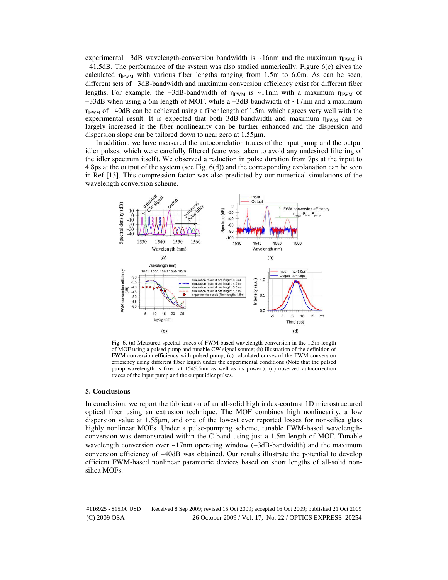experimental  $-\frac{3}{d}B$  wavelength-conversion bandwidth is ~16nm and the maximum  $\eta_{FWM}$  is −41.5dB. The performance of the system was also studied numerically. Figure 6(c) gives the calculated  $\eta_{FWM}$  with various fiber lengths ranging from 1.5m to 6.0m. As can be seen, different sets of −3dB-bandwidth and maximum conversion efficiency exist for different fiber lengths. For example, the -3dB-bandwidth of  $\eta_{FWM}$  is ~11nm with a maximum  $\eta_{FWM}$  of −33dB when using a 6m-length of MOF, while a −3dB-bandwidth of ~17nm and a maximum  $\eta_{\text{FWM}}$  of −40dB can be achieved using a fiber length of 1.5m, which agrees very well with the experimental result. It is expected that both 3dB-bandwidth and maximum  $\eta_{FWM}$  can be largely increased if the fiber nonlinearity can be further enhanced and the dispersion and dispersion slope can be tailored down to near zero at 1.55µm.

In addition, we have measured the autocorrelation traces of the input pump and the output idler pulses, which were carefully filtered (care was taken to avoid any undesired filtering of the idler spectrum itself). We observed a reduction in pulse duration from 7ps at the input to 4.8ps at the output of the system (see Fig. 6(d)) and the corresponding explanation can be seen in Ref [13]. This compression factor was also predicted by our numerical simulations of the wavelength conversion scheme.



Fig. 6. (a) Measured spectral traces of FWM-based wavelength conversion in the 1.5m-length of MOF using a pulsed pump and tunable CW signal source; (b) illustration of the definition of FWM conversion efficiency with pulsed pump; (c) calculated curves of the FWM conversion efficiency using different fiber length under the experimental conditions (Note that the pulsed pump wavelength is fixed at 1545.5nm as well as its power.); (d) observed autocorrection traces of the input pump and the output idler pulses.

#### **5. Conclusions**

In conclusion, we report the fabrication of an all-solid high index-contrast 1D microstructured optical fiber using an extrusion technique. The MOF combines high nonlinearity, a low dispersion value at 1.55µm, and one of the lowest ever reported losses for non-silica glass highly nonlinear MOFs. Under a pulse-pumping scheme, tunable FWM-based wavelengthconversion was demonstrated within the C band using just a 1.5m length of MOF. Tunable wavelength conversion over ~17nm operating window (−3dB-bandwidth) and the maximum conversion efficiency of −40dB was obtained. Our results illustrate the potential to develop efficient FWM-based nonlinear parametric devices based on short lengths of all-solid nonsilica MOFs.

(C) 2009 OSA 26 October 2009 / Vol. 17, No. 22 / OPTICS EXPRESS 20254 #116925 - \$15.00 USD Received 8 Sep 2009; revised 15 Oct 2009; accepted 16 Oct 2009; published 21 Oct 2009